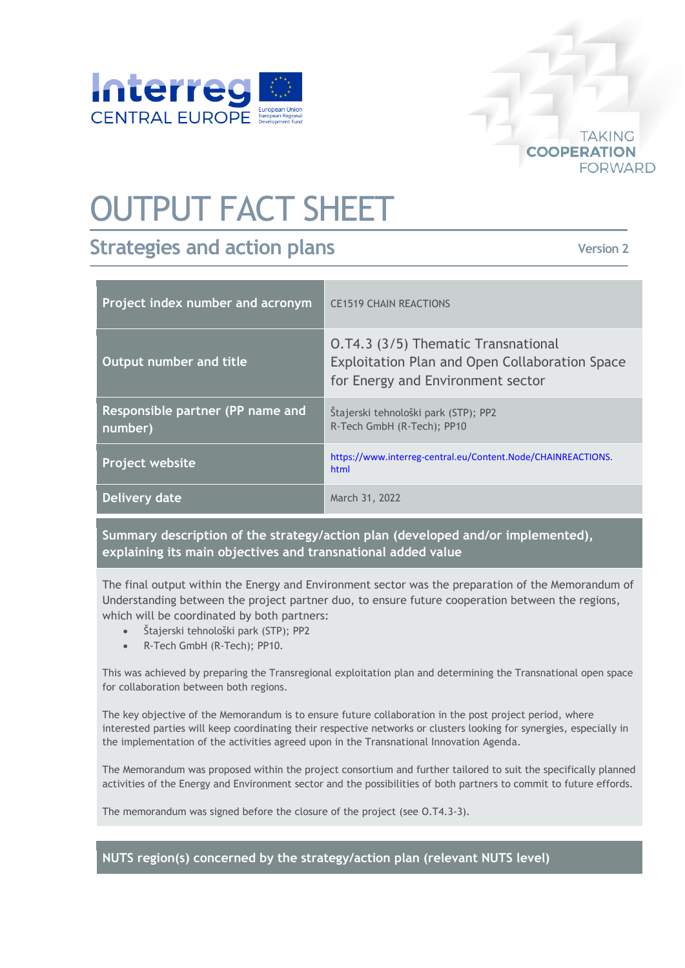

## OUTPUT FACT SHEET

## **Strategies and action plans**

**Version 2**

**TAKING** 

**FORWARD** 

**COOPERATION** 

| Project index number and acronym            | <b>CE1519 CHAIN REACTIONS</b>                                                                                                     |
|---------------------------------------------|-----------------------------------------------------------------------------------------------------------------------------------|
| Output number and title                     | 0.74.3 (3/5) Thematic Transnational<br><b>Exploitation Plan and Open Collaboration Space</b><br>for Energy and Environment sector |
| Responsible partner (PP name and<br>number) | Štajerski tehnološki park (STP); PP2<br>R-Tech GmbH (R-Tech); PP10                                                                |
| Project website                             | https://www.interreg-central.eu/Content.Node/CHAINREACTIONS.<br>html                                                              |
| <b>Delivery date</b>                        | March 31, 2022                                                                                                                    |

**Summary description of the strategy/action plan (developed and/or implemented), explaining its main objectives and transnational added value**

The final output within the Energy and Environment sector was the preparation of the Memorandum of Understanding between the project partner duo, to ensure future cooperation between the regions, which will be coordinated by both partners:

- Štajerski tehnološki park (STP); PP2
- R-Tech GmbH (R-Tech); PP10.

This was achieved by preparing the Transregional exploitation plan and determining the Transnational open space for collaboration between both regions.

The key objective of the Memorandum is to ensure future collaboration in the post project period, where interested parties will keep coordinating their respective networks or clusters looking for synergies, especially in the implementation of the activities agreed upon in the Transnational Innovation Agenda.

The Memorandum was proposed within the project consortium and further tailored to suit the specifically planned activities of the Energy and Environment sector and the possibilities of both partners to commit to future effords.

The memorandum was signed before the closure of the project (see O.T4.3-3).

**NUTS region(s) concerned by the strategy/action plan (relevant NUTS level)**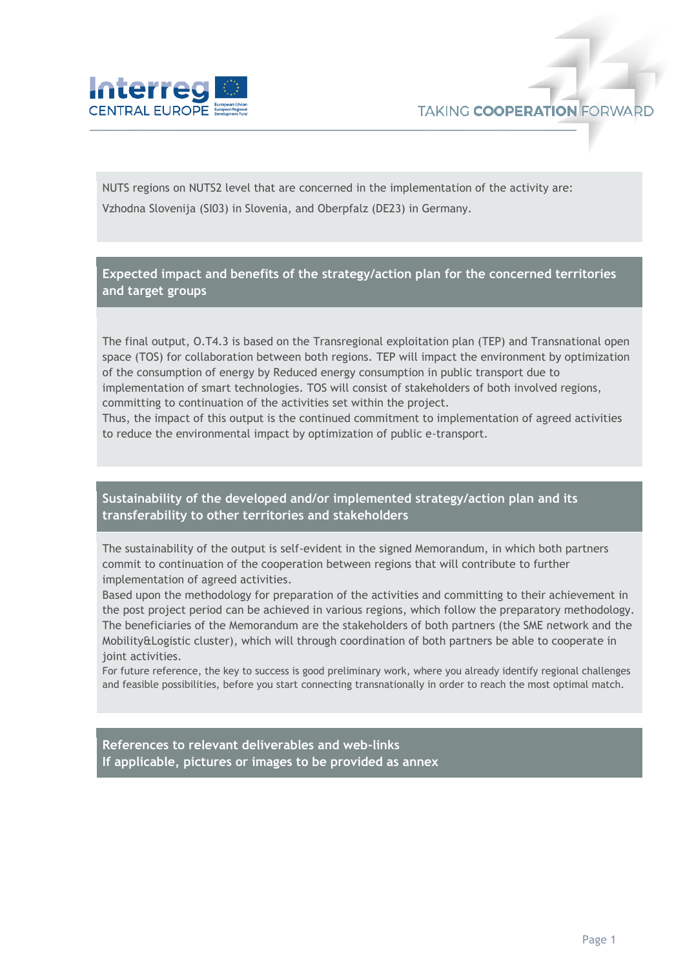

NUTS regions on NUTS2 level that are concerned in the implementation of the activity are: Vzhodna Slovenija (SI03) in Slovenia, and Oberpfalz (DE23) in Germany.

**Expected impact and benefits of the strategy/action plan for the concerned territories and target groups**

The final output, O.T4.3 is based on the Transregional exploitation plan (TEP) and Transnational open space (TOS) for collaboration between both regions. TEP will impact the environment by optimization of the consumption of energy by Reduced energy consumption in public transport due to implementation of smart technologies. TOS will consist of stakeholders of both involved regions, committing to continuation of the activities set within the project.

Thus, the impact of this output is the continued commitment to implementation of agreed activities to reduce the environmental impact by optimization of public e-transport.

**Sustainability of the developed and/or implemented strategy/action plan and its transferability to other territories and stakeholders**

The sustainability of the output is self-evident in the signed Memorandum, in which both partners commit to continuation of the cooperation between regions that will contribute to further implementation of agreed activities.

Based upon the methodology for preparation of the activities and committing to their achievement in the post project period can be achieved in various regions, which follow the preparatory methodology. The beneficiaries of the Memorandum are the stakeholders of both partners (the SME network and the Mobility&Logistic cluster), which will through coordination of both partners be able to cooperate in joint activities.

For future reference, the key to success is good preliminary work, where you already identify regional challenges and feasible possibilities, before you start connecting transnationally in order to reach the most optimal match.

**References to relevant deliverables and web-links If applicable, pictures or images to be provided as annex**